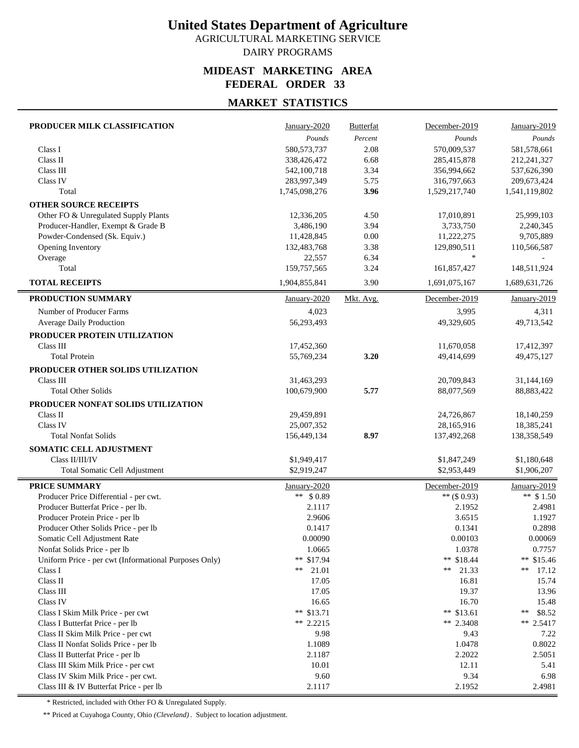AGRICULTURAL MARKETING SERVICE DAIRY PROGRAMS

#### **MIDEAST MARKETING AREA FEDERAL ORDER 33**

## **MARKET STATISTICS**

| Pounds<br>Percent<br>Pounds<br>Pounds<br>580, 573, 737<br>570,009,537<br>Class I<br>2.08<br>581,578,661<br>Class II<br>338,426,472<br>6.68<br>285,415,878<br>212,241,327<br>Class III<br>542,100,718<br>3.34<br>537,626,390<br>356,994,662<br>Class IV<br>283,997,349<br>5.75<br>316,797,663<br>209,673,424<br>Total<br>3.96<br>1,529,217,740<br>1,745,098,276<br>1,541,119,802<br><b>OTHER SOURCE RECEIPTS</b><br>Other FO & Unregulated Supply Plants<br>4.50<br>25,999,103<br>12,336,205<br>17,010,891 |
|-----------------------------------------------------------------------------------------------------------------------------------------------------------------------------------------------------------------------------------------------------------------------------------------------------------------------------------------------------------------------------------------------------------------------------------------------------------------------------------------------------------|
|                                                                                                                                                                                                                                                                                                                                                                                                                                                                                                           |
|                                                                                                                                                                                                                                                                                                                                                                                                                                                                                                           |
|                                                                                                                                                                                                                                                                                                                                                                                                                                                                                                           |
|                                                                                                                                                                                                                                                                                                                                                                                                                                                                                                           |
|                                                                                                                                                                                                                                                                                                                                                                                                                                                                                                           |
|                                                                                                                                                                                                                                                                                                                                                                                                                                                                                                           |
|                                                                                                                                                                                                                                                                                                                                                                                                                                                                                                           |
|                                                                                                                                                                                                                                                                                                                                                                                                                                                                                                           |
| Producer-Handler, Exempt & Grade B<br>3,486,190<br>3.94<br>3,733,750<br>2,240,345                                                                                                                                                                                                                                                                                                                                                                                                                         |
| Powder-Condensed (Sk. Equiv.)<br>0.00<br>11,428,845<br>11,222,275<br>9,705,889                                                                                                                                                                                                                                                                                                                                                                                                                            |
| 3.38<br>Opening Inventory<br>132,483,768<br>129,890,511<br>110,566,587                                                                                                                                                                                                                                                                                                                                                                                                                                    |
| $\ast$<br>Overage<br>6.34<br>22,557                                                                                                                                                                                                                                                                                                                                                                                                                                                                       |
| Total<br>159,757,565<br>3.24<br>161,857,427<br>148,511,924                                                                                                                                                                                                                                                                                                                                                                                                                                                |
| <b>TOTAL RECEIPTS</b><br>1,904,855,841<br>3.90<br>1,691,075,167<br>1,689,631,726                                                                                                                                                                                                                                                                                                                                                                                                                          |
| PRODUCTION SUMMARY<br>Mkt. Avg.<br>January-2020<br>December-2019<br>January-2019                                                                                                                                                                                                                                                                                                                                                                                                                          |
| Number of Producer Farms<br>4,023<br>3,995<br>4,311                                                                                                                                                                                                                                                                                                                                                                                                                                                       |
| Average Daily Production<br>56,293,493<br>49,713,542<br>49,329,605                                                                                                                                                                                                                                                                                                                                                                                                                                        |
| PRODUCER PROTEIN UTILIZATION                                                                                                                                                                                                                                                                                                                                                                                                                                                                              |
| Class III<br>17,452,360<br>11,670,058<br>17,412,397                                                                                                                                                                                                                                                                                                                                                                                                                                                       |
| <b>Total Protein</b><br>3.20<br>49,475,127<br>55,769,234<br>49.414.699                                                                                                                                                                                                                                                                                                                                                                                                                                    |
| PRODUCER OTHER SOLIDS UTILIZATION                                                                                                                                                                                                                                                                                                                                                                                                                                                                         |
| Class III<br>31,463,293<br>20,709,843<br>31,144,169                                                                                                                                                                                                                                                                                                                                                                                                                                                       |
| <b>Total Other Solids</b><br>100,679,900<br>5.77<br>88,077,569<br>88,883,422                                                                                                                                                                                                                                                                                                                                                                                                                              |
| PRODUCER NONFAT SOLIDS UTILIZATION                                                                                                                                                                                                                                                                                                                                                                                                                                                                        |
| Class II<br>29,459,891<br>24,726,867<br>18,140,259                                                                                                                                                                                                                                                                                                                                                                                                                                                        |
| Class IV<br>25,007,352<br>28,165,916<br>18,385,241                                                                                                                                                                                                                                                                                                                                                                                                                                                        |
| 8.97<br><b>Total Nonfat Solids</b><br>156,449,134<br>137,492,268<br>138,358,549                                                                                                                                                                                                                                                                                                                                                                                                                           |
| SOMATIC CELL ADJUSTMENT                                                                                                                                                                                                                                                                                                                                                                                                                                                                                   |
| Class II/III/IV<br>\$1,949,417<br>\$1,847,249<br>\$1,180,648                                                                                                                                                                                                                                                                                                                                                                                                                                              |
| \$2,919,247<br>\$2,953,449<br>Total Somatic Cell Adjustment<br>\$1,906,207                                                                                                                                                                                                                                                                                                                                                                                                                                |
|                                                                                                                                                                                                                                                                                                                                                                                                                                                                                                           |
| <b>PRICE SUMMARY</b><br>January-2020<br>December-2019<br>January-2019                                                                                                                                                                                                                                                                                                                                                                                                                                     |
| ** $$1.50$<br>** \$0.89<br>** $($ \$ 0.93)<br>Producer Price Differential - per cwt.                                                                                                                                                                                                                                                                                                                                                                                                                      |
| Producer Butterfat Price - per lb.<br>2.1117<br>2.1952<br>2.4981                                                                                                                                                                                                                                                                                                                                                                                                                                          |
| 3.6515<br>Producer Protein Price - per lb<br>2.9606<br>1.1927                                                                                                                                                                                                                                                                                                                                                                                                                                             |
| Producer Other Solids Price - per lb<br>0.1341<br>0.2898<br>0.1417                                                                                                                                                                                                                                                                                                                                                                                                                                        |
| 0.00090<br>0.00103<br>0.00069<br>Somatic Cell Adjustment Rate                                                                                                                                                                                                                                                                                                                                                                                                                                             |
| Nonfat Solids Price - per lb<br>1.0665<br>1.0378<br>0.7757                                                                                                                                                                                                                                                                                                                                                                                                                                                |
| ** \$17.94<br>** $$18.44$<br>Uniform Price - per cwt (Informational Purposes Only)<br>** $$15.46$                                                                                                                                                                                                                                                                                                                                                                                                         |
| Class I<br>21.01<br>21.33<br>**<br>**<br>**<br>17.12                                                                                                                                                                                                                                                                                                                                                                                                                                                      |
| Class II<br>17.05<br>16.81<br>15.74<br>Class III                                                                                                                                                                                                                                                                                                                                                                                                                                                          |
| 17.05<br>19.37<br>13.96<br>Class IV                                                                                                                                                                                                                                                                                                                                                                                                                                                                       |
| 16.65<br>16.70<br>15.48<br>** $$13.71$<br>** $$13.61$<br>\$8.52<br>Class I Skim Milk Price - per cwt<br>∗∗                                                                                                                                                                                                                                                                                                                                                                                                |
| ** 2.2215<br>** 2.3408<br>Class I Butterfat Price - per lb<br>** $2.5417$                                                                                                                                                                                                                                                                                                                                                                                                                                 |
| Class II Skim Milk Price - per cwt<br>9.98<br>9.43<br>7.22                                                                                                                                                                                                                                                                                                                                                                                                                                                |
| 1.1089<br>1.0478<br>0.8022<br>Class II Nonfat Solids Price - per lb                                                                                                                                                                                                                                                                                                                                                                                                                                       |
| 2.1187<br>2.2022<br>Class II Butterfat Price - per lb<br>2.5051                                                                                                                                                                                                                                                                                                                                                                                                                                           |
| Class III Skim Milk Price - per cwt<br>10.01<br>12.11<br>5.41                                                                                                                                                                                                                                                                                                                                                                                                                                             |
| 9.60<br>9.34<br>Class IV Skim Milk Price - per cwt.<br>6.98                                                                                                                                                                                                                                                                                                                                                                                                                                               |
| 2.1117<br>2.1952<br>Class III & IV Butterfat Price - per lb<br>2.4981                                                                                                                                                                                                                                                                                                                                                                                                                                     |

\* Restricted, included with Other FO & Unregulated Supply.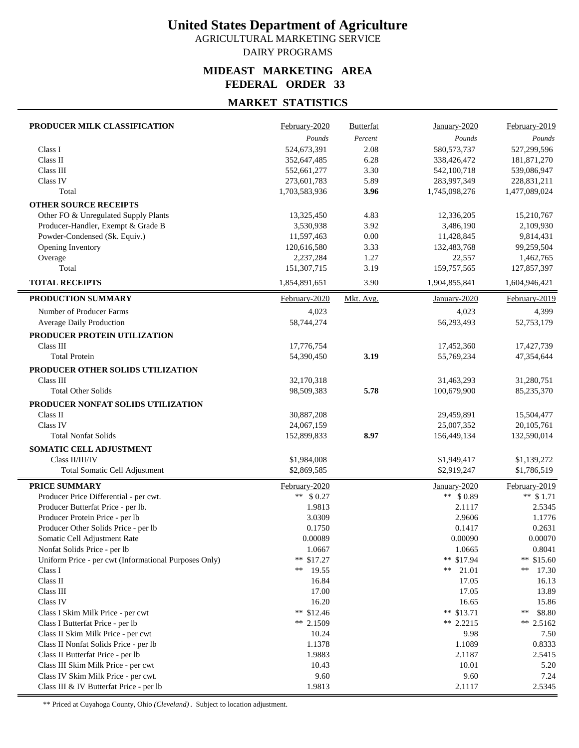AGRICULTURAL MARKETING SERVICE DAIRY PROGRAMS

#### **MIDEAST MARKETING AREA FEDERAL ORDER 33**

## **MARKET STATISTICS**

| PRODUCER MILK CLASSIFICATION                          | February-2020              | <b>Butterfat</b> | January-2020               | February-2019              |
|-------------------------------------------------------|----------------------------|------------------|----------------------------|----------------------------|
|                                                       | Pounds                     | Percent          | Pounds                     | Pounds                     |
| Class I                                               | 524,673,391                | 2.08             | 580, 573, 737              | 527,299,596                |
| Class II                                              | 352,647,485                | 6.28             | 338,426,472                | 181,871,270                |
| Class III                                             | 552,661,277                | 3.30             | 542,100,718                | 539,086,947                |
| Class IV                                              | 273,601,783                | 5.89             | 283,997,349                | 228,831,211                |
| Total                                                 | 1,703,583,936              | 3.96             | 1,745,098,276              | 1,477,089,024              |
| <b>OTHER SOURCE RECEIPTS</b>                          |                            |                  |                            |                            |
| Other FO & Unregulated Supply Plants                  | 13,325,450                 | 4.83             | 12,336,205                 | 15,210,767                 |
| Producer-Handler, Exempt & Grade B                    | 3,530,938                  | 3.92             | 3,486,190                  | 2,109,930                  |
| Powder-Condensed (Sk. Equiv.)                         | 11,597,463                 | 0.00             | 11,428,845                 | 9,814,431                  |
| Opening Inventory                                     | 120,616,580                | 3.33             | 132,483,768                | 99,259,504                 |
| Overage                                               | 2,237,284                  | 1.27             | 22,557                     | 1,462,765                  |
| Total                                                 | 151,307,715                | 3.19             | 159,757,565                | 127,857,397                |
| <b>TOTAL RECEIPTS</b>                                 | 1,854,891,651              | 3.90             | 1,904,855,841              | 1,604,946,421              |
| PRODUCTION SUMMARY                                    | February-2020              | Mkt. Avg.        | January-2020               | February-2019              |
| Number of Producer Farms                              | 4,023                      |                  | 4,023                      | 4,399                      |
| <b>Average Daily Production</b>                       | 58,744,274                 |                  | 56,293,493                 | 52,753,179                 |
| PRODUCER PROTEIN UTILIZATION                          |                            |                  |                            |                            |
| Class III                                             | 17,776,754                 |                  | 17,452,360                 | 17,427,739                 |
| <b>Total Protein</b>                                  | 54,390,450                 | 3.19             | 55,769,234                 | 47,354,644                 |
| PRODUCER OTHER SOLIDS UTILIZATION                     |                            |                  |                            |                            |
| Class III                                             | 32,170,318                 |                  | 31,463,293                 | 31,280,751                 |
| <b>Total Other Solids</b>                             | 98,509,383                 | 5.78             | 100,679,900                | 85,235,370                 |
| PRODUCER NONFAT SOLIDS UTILIZATION                    |                            |                  |                            |                            |
| Class II                                              | 30,887,208                 |                  | 29,459,891                 | 15,504,477                 |
| Class IV                                              | 24,067,159                 |                  | 25,007,352                 | 20,105,761                 |
| <b>Total Nonfat Solids</b>                            | 152,899,833                | 8.97             | 156,449,134                | 132,590,014                |
|                                                       |                            |                  |                            |                            |
| SOMATIC CELL ADJUSTMENT<br>Class II/III/IV            |                            |                  |                            |                            |
|                                                       | \$1,984,008<br>\$2,869,585 |                  | \$1,949,417<br>\$2,919,247 | \$1,139,272<br>\$1,786,519 |
| Total Somatic Cell Adjustment                         |                            |                  |                            |                            |
| <b>PRICE SUMMARY</b>                                  | February-2020              |                  | January-2020               | February-2019              |
| Producer Price Differential - per cwt.                | ** $$0.27$                 |                  | ** $$0.89$                 | ** $$1.71$                 |
| Producer Butterfat Price - per lb.                    | 1.9813                     |                  | 2.1117                     | 2.5345                     |
| Producer Protein Price - per lb                       | 3.0309                     |                  | 2.9606                     | 1.1776                     |
| Producer Other Solids Price - per lb                  | 0.1750                     |                  | 0.1417                     | 0.2631                     |
| Somatic Cell Adiustment Rate                          | 0.00089                    |                  | 0.00090                    | 0.00070                    |
| Nonfat Solids Price - per lb                          | 1.0667                     |                  | 1.0665                     | 0.8041                     |
| Uniform Price - per cwt (Informational Purposes Only) | ** \$17.27                 |                  | ** \$17.94                 | ** $$15.60$                |
| Class I                                               | **<br>19.55                |                  | 21.01<br>**                | **<br>17.30                |
| Class II                                              | 16.84                      |                  | 17.05                      | 16.13                      |
| Class III                                             | 17.00                      |                  | 17.05                      | 13.89                      |
| Class IV                                              | 16.20                      |                  | 16.65                      | 15.86                      |
| Class I Skim Milk Price - per cwt                     | ** $$12.46$                |                  | ** \$13.71                 | \$8.80<br>**               |
| Class I Butterfat Price - per lb                      | ** $2.1509$                |                  | ** $2.2215$                | ** 2.5162                  |
| Class II Skim Milk Price - per cwt                    | 10.24                      |                  | 9.98                       | 7.50                       |
| Class II Nonfat Solids Price - per lb                 | 1.1378                     |                  | 1.1089                     | 0.8333                     |
| Class II Butterfat Price - per lb                     | 1.9883                     |                  | 2.1187                     | 2.5415                     |
| Class III Skim Milk Price - per cwt                   | 10.43                      |                  | 10.01                      | 5.20                       |
| Class IV Skim Milk Price - per cwt.                   | 9.60                       |                  | 9.60                       | 7.24                       |
| Class III & IV Butterfat Price - per lb               | 1.9813                     |                  | 2.1117                     | 2.5345                     |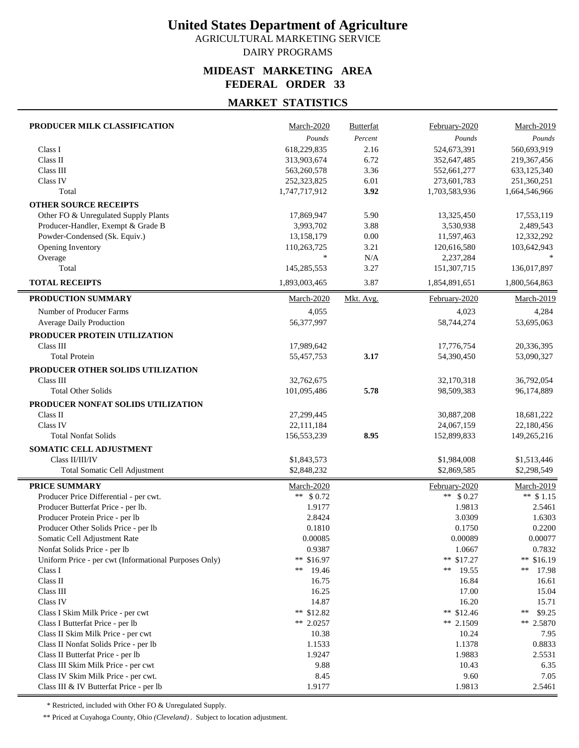AGRICULTURAL MARKETING SERVICE DAIRY PROGRAMS

#### **MIDEAST MARKETING AREA FEDERAL ORDER 33**

## **MARKET STATISTICS**

| PRODUCER MILK CLASSIFICATION                                          | March-2020       | <b>Butterfat</b> | February-2020    | March-2019        |
|-----------------------------------------------------------------------|------------------|------------------|------------------|-------------------|
|                                                                       | Pounds           | Percent          | Pounds           | Pounds            |
| Class I                                                               | 618,229,835      | 2.16             | 524,673,391      | 560,693,919       |
| Class II                                                              | 313,903,674      | 6.72             | 352,647,485      | 219,367,456       |
| Class III                                                             | 563,260,578      | 3.36             | 552,661,277      | 633,125,340       |
| Class IV                                                              | 252,323,825      | 6.01             | 273,601,783      | 251,360,251       |
| Total                                                                 | 1,747,717,912    | 3.92             | 1,703,583,936    | 1,664,546,966     |
| <b>OTHER SOURCE RECEIPTS</b>                                          |                  |                  |                  |                   |
| Other FO & Unregulated Supply Plants                                  | 17,869,947       | 5.90             | 13,325,450       | 17,553,119        |
| Producer-Handler, Exempt & Grade B                                    | 3,993,702        | 3.88             | 3,530,938        | 2,489,543         |
| Powder-Condensed (Sk. Equiv.)                                         | 13,158,179       | 0.00             | 11,597,463       | 12,332,292        |
| Opening Inventory                                                     | 110,263,725      | 3.21             | 120,616,580      | 103,642,943       |
| Overage                                                               | $\ast$           | N/A              | 2,237,284        |                   |
| Total                                                                 | 145,285,553      | 3.27             | 151,307,715      | 136,017,897       |
| <b>TOTAL RECEIPTS</b>                                                 | 1,893,003,465    | 3.87             | 1,854,891,651    | 1,800,564,863     |
| PRODUCTION SUMMARY                                                    | March-2020       | Mkt. Avg.        | February-2020    | March-2019        |
| Number of Producer Farms                                              | 4,055            |                  | 4,023            | 4,284             |
| Average Daily Production                                              | 56,377,997       |                  | 58,744,274       | 53,695,063        |
| PRODUCER PROTEIN UTILIZATION                                          |                  |                  |                  |                   |
| Class III                                                             | 17,989,642       |                  | 17,776,754       | 20,336,395        |
| <b>Total Protein</b>                                                  | 55,457,753       | 3.17             | 54,390,450       | 53,090,327        |
| PRODUCER OTHER SOLIDS UTILIZATION                                     |                  |                  |                  |                   |
| Class III                                                             | 32,762,675       |                  | 32,170,318       | 36,792,054        |
| <b>Total Other Solids</b>                                             | 101,095,486      | 5.78             | 98,509,383       | 96,174,889        |
| PRODUCER NONFAT SOLIDS UTILIZATION                                    |                  |                  |                  |                   |
| Class II                                                              | 27,299,445       |                  | 30,887,208       | 18,681,222        |
| Class IV                                                              | 22,111,184       |                  | 24,067,159       | 22,180,456        |
| <b>Total Nonfat Solids</b>                                            | 156,553,239      | 8.95             | 152,899,833      | 149,265,216       |
| SOMATIC CELL ADJUSTMENT                                               |                  |                  |                  |                   |
| Class II/III/IV                                                       | \$1,843,573      |                  | \$1,984,008      | \$1,513,446       |
| <b>Total Somatic Cell Adjustment</b>                                  | \$2,848,232      |                  | \$2,869,585      | \$2,298,549       |
|                                                                       |                  |                  |                  |                   |
| <b>PRICE SUMMARY</b>                                                  | March-2020       |                  | February-2020    | <b>March-2019</b> |
| Producer Price Differential - per cwt.                                | ** $$0.72$       |                  | ** $$0.27$       | ** $$1.15$        |
| Producer Butterfat Price - per lb.<br>Producer Protein Price - per lb | 1.9177<br>2.8424 |                  | 1.9813<br>3.0309 | 2.5461<br>1.6303  |
| Producer Other Solids Price - per lb                                  | 0.1810           |                  | 0.1750           | 0.2200            |
| Somatic Cell Adjustment Rate                                          | 0.00085          |                  | 0.00089          | 0.00077           |
| Nonfat Solids Price - per lb                                          | 0.9387           |                  | 1.0667           | 0.7832            |
| Uniform Price - per cwt (Informational Purposes Only)                 | ** $$16.97$      |                  | ** $$17.27$      | ** $$16.19$       |
| Class I                                                               | **<br>19.46      |                  | **<br>19.55      | **<br>17.98       |
| Class II                                                              | 16.75            |                  | 16.84            | 16.61             |
| Class III                                                             | 16.25            |                  | 17.00            | 15.04             |
| Class IV                                                              | 14.87            |                  | 16.20            | 15.71             |
| Class I Skim Milk Price - per cwt                                     | ** $$12.82$      |                  | ** $$12.46$      | \$9.25<br>∗∗      |
| Class I Butterfat Price - per lb                                      | ** 2.0257        |                  | ** 2.1509        | ** $2.5870$       |
| Class II Skim Milk Price - per cwt                                    | 10.38            |                  | 10.24            | 7.95              |
| Class II Nonfat Solids Price - per lb                                 | 1.1533           |                  | 1.1378           | 0.8833            |
| Class II Butterfat Price - per lb                                     | 1.9247           |                  | 1.9883           | 2.5531            |
| Class III Skim Milk Price - per cwt                                   | 9.88             |                  | 10.43            | 6.35              |
| Class IV Skim Milk Price - per cwt.                                   | 8.45             |                  | 9.60             | 7.05              |
| Class III & IV Butterfat Price - per lb                               | 1.9177           |                  | 1.9813           | 2.5461            |

\* Restricted, included with Other FO & Unregulated Supply.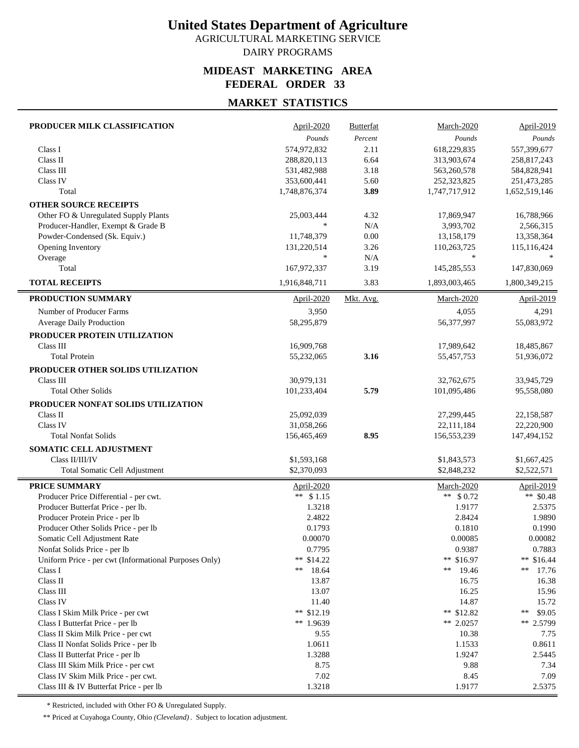AGRICULTURAL MARKETING SERVICE DAIRY PROGRAMS

#### **MIDEAST MARKETING AREA FEDERAL ORDER 33**

## **MARKET STATISTICS**

| PRODUCER MILK CLASSIFICATION                          | April-2020    | <b>Butterfat</b> | March-2020    | <b>April-2019</b> |
|-------------------------------------------------------|---------------|------------------|---------------|-------------------|
|                                                       | Pounds        | Percent          | Pounds        | Pounds            |
| Class I                                               | 574,972,832   | 2.11             | 618,229,835   | 557,399,677       |
| Class II                                              | 288,820,113   | 6.64             | 313,903,674   | 258,817,243       |
| Class III                                             | 531,482,988   | 3.18             | 563,260,578   | 584,828,941       |
| Class IV                                              | 353,600,441   | 5.60             | 252,323,825   | 251,473,285       |
| Total                                                 | 1,748,876,374 | 3.89             | 1,747,717,912 | 1,652,519,146     |
| <b>OTHER SOURCE RECEIPTS</b>                          |               |                  |               |                   |
| Other FO & Unregulated Supply Plants                  | 25,003,444    | 4.32             | 17,869,947    | 16,788,966        |
| Producer-Handler, Exempt & Grade B                    | $\frac{1}{2}$ | N/A              | 3,993,702     | 2,566,315         |
| Powder-Condensed (Sk. Equiv.)                         | 11,748,379    | 0.00             | 13,158,179    | 13,358,364        |
| Opening Inventory                                     | 131,220,514   | 3.26             | 110,263,725   | 115,116,424       |
| Overage                                               | $\frac{1}{2}$ | N/A              | $\ast$        |                   |
| Total                                                 | 167,972,337   | 3.19             | 145,285,553   | 147,830,069       |
| <b>TOTAL RECEIPTS</b>                                 | 1,916,848,711 | 3.83             | 1,893,003,465 | 1,800,349,215     |
| PRODUCTION SUMMARY                                    | April-2020    | Mkt. Avg.        | March-2020    | April-2019        |
| Number of Producer Farms                              | 3,950         |                  | 4,055         | 4,291             |
| Average Daily Production                              | 58,295,879    |                  | 56,377,997    | 55,083,972        |
| PRODUCER PROTEIN UTILIZATION                          |               |                  |               |                   |
| Class III                                             | 16,909,768    |                  | 17,989,642    | 18,485,867        |
| <b>Total Protein</b>                                  | 55,232,065    | 3.16             | 55,457,753    | 51,936,072        |
| PRODUCER OTHER SOLIDS UTILIZATION                     |               |                  |               |                   |
| Class III                                             | 30,979,131    |                  | 32,762,675    | 33,945,729        |
| <b>Total Other Solids</b>                             | 101,233,404   | 5.79             | 101,095,486   | 95,558,080        |
|                                                       |               |                  |               |                   |
| PRODUCER NONFAT SOLIDS UTILIZATION                    |               |                  |               |                   |
| Class II                                              | 25,092,039    |                  | 27,299,445    | 22,158,587        |
| Class IV                                              | 31,058,266    |                  | 22,111,184    | 22,220,900        |
| <b>Total Nonfat Solids</b>                            | 156,465,469   | 8.95             | 156,553,239   | 147,494,152       |
| SOMATIC CELL ADJUSTMENT                               |               |                  |               |                   |
| Class II/III/IV                                       | \$1,593,168   |                  | \$1,843,573   | \$1,667,425       |
| Total Somatic Cell Adjustment                         | \$2,370,093   |                  | \$2,848,232   | \$2,522,571       |
| PRICE SUMMARY                                         | April-2020    |                  | March-2020    | April-2019        |
| Producer Price Differential - per cwt.                | ** $$1.15$    |                  | ** $$0.72$    | ** \$0.48         |
| Producer Butterfat Price - per lb.                    | 1.3218        |                  | 1.9177        | 2.5375            |
| Producer Protein Price - per lb                       | 2.4822        |                  | 2.8424        | 1.9890            |
| Producer Other Solids Price - per lb                  | 0.1793        |                  | 0.1810        | 0.1990            |
| Somatic Cell Adjustment Rate                          | 0.00070       |                  | 0.00085       | 0.00082           |
| Nonfat Solids Price - per lb                          | 0.7795        |                  | 0.9387        | 0.7883            |
| Uniform Price - per cwt (Informational Purposes Only) | ** $$14.22$   |                  | ** $$16.97$   | ** $$16.44$       |
| Class I                                               | **<br>18.64   |                  | 19.46<br>**   | **<br>17.76       |
| Class II                                              | 13.87         |                  | 16.75         | 16.38             |
| Class III                                             | 13.07         |                  | 16.25         | 15.96             |
| Class IV                                              | 11.40         |                  | 14.87         | 15.72             |
| Class I Skim Milk Price - per cwt                     | ** $$12.19$   |                  | ** $$12.82$   | \$9.05<br>**      |
| Class I Butterfat Price - per lb                      | ** 1.9639     |                  | ** 2.0257     | ** 2.5799         |
| Class II Skim Milk Price - per cwt                    | 9.55          |                  | 10.38         | 7.75              |
| Class II Nonfat Solids Price - per lb                 | 1.0611        |                  | 1.1533        | 0.8611            |
| Class II Butterfat Price - per lb                     | 1.3288        |                  | 1.9247        | 2.5445            |
| Class III Skim Milk Price - per cwt                   | 8.75          |                  | 9.88          | 7.34              |
| Class IV Skim Milk Price - per cwt.                   | 7.02          |                  | 8.45          | 7.09              |
| Class III & IV Butterfat Price - per lb               | 1.3218        |                  | 1.9177        | 2.5375            |

\* Restricted, included with Other FO & Unregulated Supply.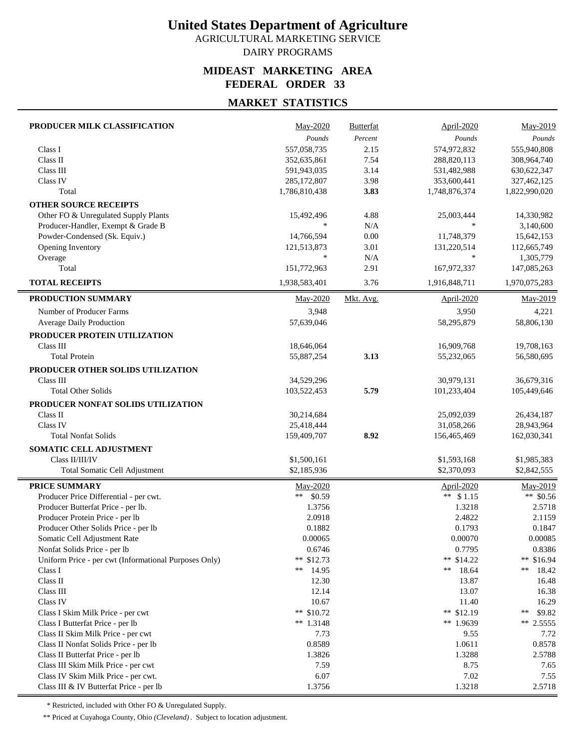AGRICULTURAL MARKETING SERVICE DAIRY PROGRAMS

#### **MIDEAST MARKETING AREA FEDERAL ORDER 33**

## **MARKET STATISTICS**

| PRODUCER MILK CLASSIFICATION                          | May-2020                   | <b>Butterfat</b> | April-2020                 | May-2019      |
|-------------------------------------------------------|----------------------------|------------------|----------------------------|---------------|
|                                                       | Pounds                     | Percent          | Pounds                     | Pounds        |
| Class I                                               | 557,058,735                | 2.15             | 574,972,832                | 555,940,808   |
| Class II                                              | 352,635,861                | 7.54             | 288,820,113                | 308,964,740   |
| Class III                                             | 591,943,035                | 3.14             | 531,482,988                | 630, 622, 347 |
| Class IV                                              | 285, 172, 807              | 3.98             | 353,600,441                | 327,462,125   |
| Total                                                 | 1,786,810,438              | 3.83             | 1,748,876,374              | 1,822,990,020 |
| <b>OTHER SOURCE RECEIPTS</b>                          |                            |                  |                            |               |
| Other FO & Unregulated Supply Plants                  | 15,492,496                 | 4.88             | 25,003,444                 | 14,330,982    |
| Producer-Handler, Exempt & Grade B                    |                            | N/A              | $\ast$                     | 3,140,600     |
| Powder-Condensed (Sk. Equiv.)                         | 14,766,594                 | 0.00             | 11,748,379                 | 15,642,153    |
| Opening Inventory                                     | 121,513,873                | 3.01             | 131,220,514                | 112,665,749   |
| Overage                                               | $\ast$                     | N/A              | $\ast$                     | 1,305,779     |
| Total                                                 | 151,772,963                | 2.91             | 167,972,337                | 147,085,263   |
| <b>TOTAL RECEIPTS</b>                                 | 1,938,583,401              | 3.76             | 1,916,848,711              | 1,970,075,283 |
| PRODUCTION SUMMARY                                    | May-2020                   | Mkt. Avg.        | <b>April-2020</b>          | May-2019      |
| Number of Producer Farms                              | 3,948                      |                  | 3,950                      | 4,221         |
| Average Daily Production                              | 57,639,046                 |                  | 58,295,879                 | 58,806,130    |
| PRODUCER PROTEIN UTILIZATION                          |                            |                  |                            |               |
| Class III                                             | 18,646,064                 |                  | 16,909,768                 | 19,708,163    |
| <b>Total Protein</b>                                  | 55,887,254                 | 3.13             | 55,232,065                 | 56,580,695    |
| PRODUCER OTHER SOLIDS UTILIZATION                     |                            |                  |                            |               |
| Class III                                             | 34,529,296                 |                  | 30,979,131                 | 36,679,316    |
| <b>Total Other Solids</b>                             | 103,522,453                | 5.79             | 101,233,404                | 105,449,646   |
| PRODUCER NONFAT SOLIDS UTILIZATION                    |                            |                  |                            |               |
| Class II                                              | 30,214,684                 |                  | 25,092,039                 | 26,434,187    |
| Class IV                                              | 25,418,444                 |                  | 31,058,266                 | 28,943,964    |
| <b>Total Nonfat Solids</b>                            | 159,409,707                | 8.92             | 156,465,469                | 162,030,341   |
| SOMATIC CELL ADJUSTMENT                               |                            |                  |                            |               |
| Class II/III/IV                                       | \$1,500,161                |                  | \$1,593,168                | \$1,985,383   |
| Total Somatic Cell Adjustment                         | \$2,185,936                |                  | \$2,370,093                | \$2,842,555   |
|                                                       |                            |                  |                            |               |
| <b>PRICE SUMMARY</b>                                  | May-2020                   |                  | April-2020                 | May-2019      |
| Producer Price Differential - per cwt.                | **<br>\$0.59               |                  | ** $$1.15$                 | ** $$0.56$    |
| Producer Butterfat Price - per lb.                    | 1.3756                     |                  | 1.3218                     | 2.5718        |
| Producer Protein Price - per lb                       | 2.0918                     |                  | 2.4822                     | 2.1159        |
| Producer Other Solids Price - per lb                  | 0.1882                     |                  | 0.1793                     | 0.1847        |
| Somatic Cell Adjustment Rate                          | 0.00065                    |                  | 0.00070                    | 0.00085       |
| Nonfat Solids Price - per lb                          | 0.6746                     |                  | 0.7795                     | 0.8386        |
| Uniform Price - per cwt (Informational Purposes Only) | ** \$12.73                 |                  | ** $$14.22$                | ** \$16.94    |
| Class I                                               | **<br>14.95                |                  | 18.64<br>**                | **<br>18.42   |
| Class II                                              | 12.30                      |                  | 13.87                      | 16.48         |
| Class III                                             | 12.14                      |                  | 13.07                      | 16.38         |
| Class IV                                              | 10.67                      |                  | 11.40                      | 16.29         |
| Class I Skim Milk Price - per cwt                     | ** $$10.72$<br>** $1.3148$ |                  | ** $$12.19$<br>** $1.9639$ | **<br>\$9.82  |
| Class I Butterfat Price - per lb                      |                            |                  |                            | $**$ 2.5555   |
| Class II Skim Milk Price - per cwt                    | 7.73                       |                  | 9.55                       | 7.72          |
| Class II Nonfat Solids Price - per lb                 | 0.8589                     |                  | 1.0611                     | 0.8578        |
| Class II Butterfat Price - per lb                     | 1.3826                     |                  | 1.3288                     | 2.5788        |
| Class III Skim Milk Price - per cwt                   | 7.59<br>6.07               |                  | 8.75<br>7.02               | 7.65<br>7.55  |
| Class IV Skim Milk Price - per cwt.                   | 1.3756                     |                  | 1.3218                     | 2.5718        |
| Class III & IV Butterfat Price - per lb               |                            |                  |                            |               |

\* Restricted, included with Other FO & Unregulated Supply.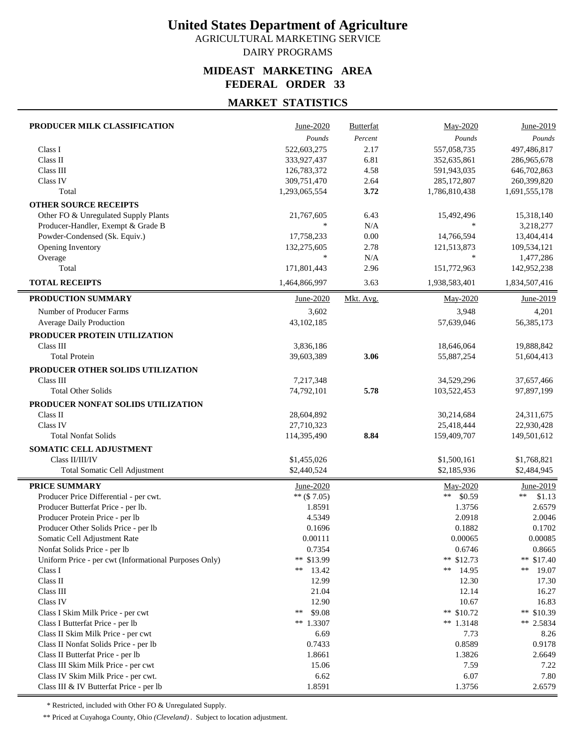AGRICULTURAL MARKETING SERVICE DAIRY PROGRAMS

#### **MIDEAST MARKETING AREA FEDERAL ORDER 33**

### **MARKET STATISTICS**

| PRODUCER MILK CLASSIFICATION                          | June-2020                  | <b>Butterfat</b> | May-2020                   | June-2019                  |
|-------------------------------------------------------|----------------------------|------------------|----------------------------|----------------------------|
|                                                       | Pounds                     | Percent          | Pounds                     | Pounds                     |
| Class I                                               | 522,603,275                | 2.17             | 557,058,735                | 497,486,817                |
| Class II                                              | 333,927,437                | 6.81             | 352,635,861                | 286,965,678                |
| Class III                                             | 126,783,372                | 4.58             | 591,943,035                | 646,702,863                |
| Class IV                                              | 309,751,470                | 2.64             | 285,172,807                | 260,399,820                |
| Total                                                 | 1,293,065,554              | 3.72             | 1,786,810,438              | 1,691,555,178              |
| <b>OTHER SOURCE RECEIPTS</b>                          |                            |                  |                            |                            |
| Other FO & Unregulated Supply Plants                  | 21,767,605                 | 6.43             | 15,492,496                 | 15,318,140                 |
| Producer-Handler, Exempt & Grade B                    | $\frac{1}{2}$              | N/A              | $\ast$                     | 3,218,277                  |
| Powder-Condensed (Sk. Equiv.)                         | 17,758,233                 | 0.00             | 14,766,594                 | 13,404,414                 |
| Opening Inventory                                     | 132,275,605                | 2.78             | 121,513,873                | 109,534,121                |
| Overage                                               | $\ast$                     | N/A              | $\ast$                     | 1,477,286                  |
| Total                                                 | 171,801,443                | 2.96             | 151,772,963                | 142,952,238                |
| <b>TOTAL RECEIPTS</b>                                 | 1,464,866,997              | 3.63             | 1,938,583,401              | 1,834,507,416              |
| PRODUCTION SUMMARY                                    | June-2020                  | Mkt. Avg.        | May-2020                   | June-2019                  |
| Number of Producer Farms                              | 3,602                      |                  | 3,948                      | 4,201                      |
| Average Daily Production                              | 43, 102, 185               |                  | 57,639,046                 | 56, 385, 173               |
| PRODUCER PROTEIN UTILIZATION                          |                            |                  |                            |                            |
| Class III                                             | 3,836,186                  |                  | 18,646,064                 | 19,888,842                 |
| <b>Total Protein</b>                                  | 39,603,389                 | 3.06             | 55,887,254                 | 51,604,413                 |
| PRODUCER OTHER SOLIDS UTILIZATION                     |                            |                  |                            |                            |
| Class III                                             | 7,217,348                  |                  | 34,529,296                 | 37,657,466                 |
| <b>Total Other Solids</b>                             | 74,792,101                 | 5.78             | 103,522,453                | 97,897,199                 |
| PRODUCER NONFAT SOLIDS UTILIZATION                    |                            |                  |                            |                            |
| Class II                                              | 28,604,892                 |                  | 30,214,684                 | 24,311,675                 |
| Class IV                                              | 27,710,323                 |                  | 25,418,444                 | 22,930,428                 |
| <b>Total Nonfat Solids</b>                            | 114,395,490                | 8.84             | 159,409,707                | 149,501,612                |
| SOMATIC CELL ADJUSTMENT                               |                            |                  |                            |                            |
| Class II/III/IV                                       |                            |                  |                            |                            |
| <b>Total Somatic Cell Adjustment</b>                  | \$1,455,026<br>\$2,440,524 |                  | \$1,500,161<br>\$2,185,936 | \$1,768,821<br>\$2,484,945 |
|                                                       |                            |                  |                            |                            |
| <b>PRICE SUMMARY</b>                                  | June-2020                  |                  | May-2020                   | June-2019                  |
| Producer Price Differential - per cwt.                | $**$ (\$7.05)              |                  | ** $$0.59$                 | $**$<br>\$1.13             |
| Producer Butterfat Price - per lb.                    | 1.8591                     |                  | 1.3756                     | 2.6579                     |
| Producer Protein Price - per lb                       | 4.5349                     |                  | 2.0918                     | 2.0046                     |
| Producer Other Solids Price - per lb                  | 0.1696                     |                  | 0.1882                     | 0.1702                     |
| Somatic Cell Adjustment Rate                          | 0.00111                    |                  | 0.00065                    | 0.00085                    |
| Nonfat Solids Price - per lb                          | 0.7354                     |                  | 0.6746                     | 0.8665                     |
| Uniform Price - per cwt (Informational Purposes Only) | ** \$13.99                 |                  | ** $$12.73$                | ** $$17.40$                |
| Class I                                               | **<br>13.42                |                  | ** $14.95$                 | **<br>19.07                |
| Class II                                              | 12.99                      |                  | 12.30                      | 17.30                      |
| Class III                                             | 21.04                      |                  | 12.14                      | 16.27                      |
| Class IV                                              | 12.90                      |                  | 10.67                      | 16.83                      |
| Class I Skim Milk Price - per cwt                     | \$9.08<br>$**$             |                  | ** $$10.72$                | ** $$10.39$                |
| Class I Butterfat Price - per lb                      | $**1.3307$                 |                  | ** $1.3148$                | ** 2.5834                  |
| Class II Skim Milk Price - per cwt                    | 6.69                       |                  | 7.73                       | 8.26                       |
| Class II Nonfat Solids Price - per lb                 | 0.7433                     |                  | 0.8589                     | 0.9178                     |
| Class II Butterfat Price - per lb                     | 1.8661                     |                  | 1.3826                     | 2.6649                     |
| Class III Skim Milk Price - per cwt                   | 15.06                      |                  | 7.59                       | 7.22                       |
| Class IV Skim Milk Price - per cwt.                   | 6.62                       |                  | 6.07                       | 7.80                       |
| Class III & IV Butterfat Price - per lb               | 1.8591                     |                  | 1.3756                     | 2.6579                     |

\* Restricted, included with Other FO & Unregulated Supply.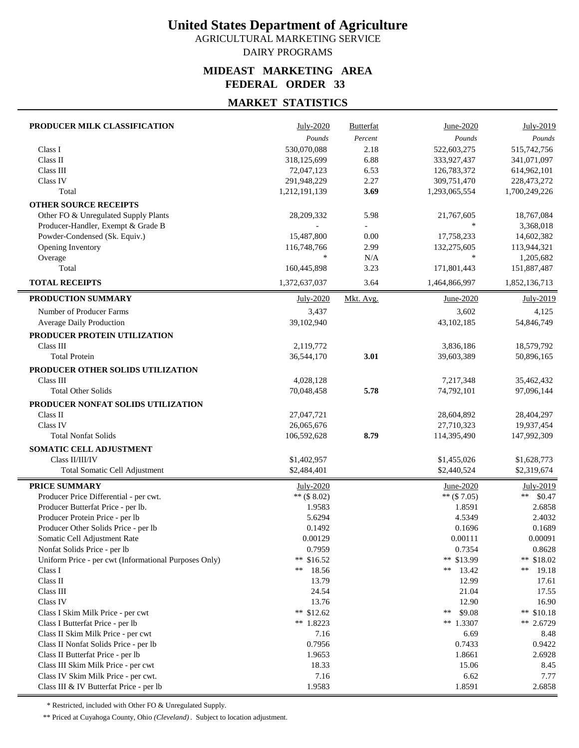AGRICULTURAL MARKETING SERVICE DAIRY PROGRAMS

#### **MIDEAST MARKETING AREA FEDERAL ORDER 33**

## **MARKET STATISTICS**

| PRODUCER MILK CLASSIFICATION                          | July-2020                 | <b>Butterfat</b> | June-2020                 | July-2019                 |
|-------------------------------------------------------|---------------------------|------------------|---------------------------|---------------------------|
|                                                       | Pounds                    | Percent          | Pounds                    | Pounds                    |
| Class I                                               | 530,070,088               | 2.18             | 522,603,275               | 515,742,756               |
| Class II                                              | 318,125,699               | 6.88             | 333,927,437               | 341,071,097               |
| Class III                                             | 72,047,123                | 6.53             | 126,783,372               | 614,962,101               |
| Class IV                                              | 291,948,229               | 2.27             | 309,751,470               | 228,473,272               |
| Total                                                 | 1,212,191,139             | 3.69             | 1,293,065,554             | 1,700,249,226             |
| <b>OTHER SOURCE RECEIPTS</b>                          |                           |                  |                           |                           |
| Other FO & Unregulated Supply Plants                  | 28,209,332                | 5.98             | 21,767,605                | 18,767,084                |
| Producer-Handler, Exempt & Grade B                    |                           |                  | $\ast$                    | 3,368,018                 |
| Powder-Condensed (Sk. Equiv.)                         | 15,487,800                | 0.00             | 17,758,233                | 14,602,382                |
| Opening Inventory                                     | 116,748,766               | 2.99             | 132,275,605               | 113,944,321               |
| Overage                                               | $\frac{1}{2}$             | N/A              | $\ast$                    | 1,205,682                 |
| Total                                                 | 160,445,898               | 3.23             | 171,801,443               | 151,887,487               |
| <b>TOTAL RECEIPTS</b>                                 | 1,372,637,037             | 3.64             | 1,464,866,997             | 1,852,136,713             |
| PRODUCTION SUMMARY                                    | July-2020                 | Mkt. Avg.        | June-2020                 | July-2019                 |
| Number of Producer Farms                              | 3,437                     |                  | 3,602                     | 4,125                     |
| Average Daily Production                              | 39,102,940                |                  | 43, 102, 185              | 54,846,749                |
| PRODUCER PROTEIN UTILIZATION                          |                           |                  |                           |                           |
| Class III                                             | 2,119,772                 |                  | 3,836,186                 | 18,579,792                |
| <b>Total Protein</b>                                  | 36,544,170                | 3.01             | 39,603,389                | 50,896,165                |
| PRODUCER OTHER SOLIDS UTILIZATION                     |                           |                  |                           |                           |
| Class III                                             | 4,028,128                 |                  | 7,217,348                 | 35,462,432                |
| <b>Total Other Solids</b>                             | 70,048,458                | 5.78             | 74,792,101                | 97,096,144                |
|                                                       |                           |                  |                           |                           |
| PRODUCER NONFAT SOLIDS UTILIZATION<br>Class II        |                           |                  |                           |                           |
| Class IV                                              | 27,047,721                |                  | 28,604,892                | 28,404,297                |
| <b>Total Nonfat Solids</b>                            | 26,065,676<br>106,592,628 | 8.79             | 27,710,323<br>114,395,490 | 19,937,454<br>147,992,309 |
|                                                       |                           |                  |                           |                           |
| SOMATIC CELL ADJUSTMENT                               |                           |                  |                           |                           |
| Class II/III/IV                                       | \$1,402,957               |                  | \$1,455,026               | \$1,628,773               |
| Total Somatic Cell Adjustment                         | \$2,484,401               |                  | \$2,440,524               | \$2,319,674               |
| <b>PRICE SUMMARY</b>                                  | July-2020                 |                  | June-2020                 | July-2019                 |
| Producer Price Differential - per cwt.                | ** $($ \$ 8.02)           |                  | $**$ (\$7.05)             | **<br>\$0.47              |
| Producer Butterfat Price - per lb.                    | 1.9583                    |                  | 1.8591                    | 2.6858                    |
| Producer Protein Price - per lb                       | 5.6294                    |                  | 4.5349                    | 2.4032                    |
| Producer Other Solids Price - per lb                  | 0.1492                    |                  | 0.1696                    | 0.1689                    |
| Somatic Cell Adjustment Rate                          | 0.00129                   |                  | 0.00111                   | 0.00091                   |
| Nonfat Solids Price - per lb                          | 0.7959                    |                  | 0.7354                    | 0.8628                    |
| Uniform Price - per cwt (Informational Purposes Only) | ** \$16.52                |                  | ** \$13.99                | ** \$18.02                |
| Class I                                               | **<br>18.56               |                  | 13.42<br>**               | **<br>19.18               |
| Class II                                              | 13.79                     |                  | 12.99                     | 17.61                     |
| Class III                                             | 24.54                     |                  | 21.04                     | 17.55                     |
| Class IV                                              | 13.76                     |                  | 12.90                     | 16.90                     |
| Class I Skim Milk Price - per cwt                     | ** $$12.62$               |                  | \$9.08<br>**              | ** \$10.18                |
| Class I Butterfat Price - per lb                      | ** 1.8223                 |                  | ** 1.3307                 | ** 2.6729                 |
| Class II Skim Milk Price - per cwt                    | 7.16                      |                  | 6.69                      | 8.48                      |
| Class II Nonfat Solids Price - per lb                 | 0.7956                    |                  | 0.7433                    | 0.9422                    |
| Class II Butterfat Price - per lb                     | 1.9653                    |                  | 1.8661                    | 2.6928                    |
| Class III Skim Milk Price - per cwt                   | 18.33                     |                  | 15.06                     | 8.45                      |
| Class IV Skim Milk Price - per cwt.                   | 7.16                      |                  | 6.62                      | 7.77                      |
| Class III & IV Butterfat Price - per lb               | 1.9583                    |                  | 1.8591                    | 2.6858                    |

\* Restricted, included with Other FO & Unregulated Supply.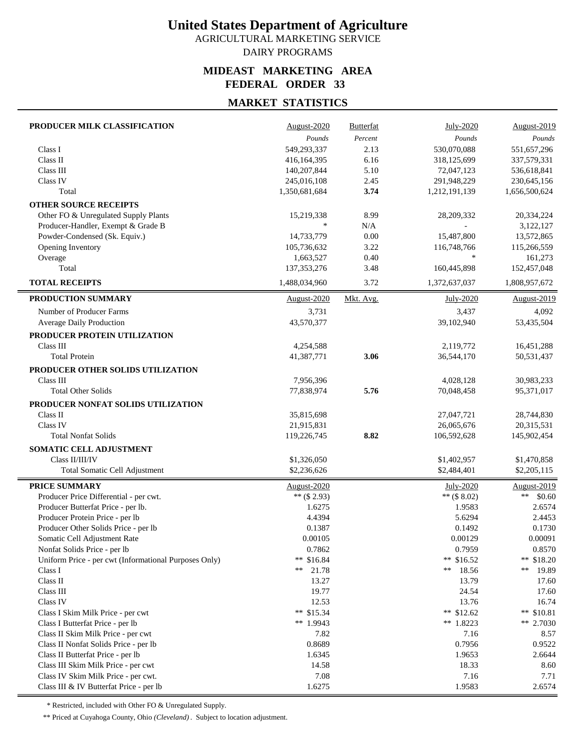AGRICULTURAL MARKETING SERVICE DAIRY PROGRAMS

#### **MIDEAST MARKETING AREA FEDERAL ORDER 33**

### **MARKET STATISTICS**

| PRODUCER MILK CLASSIFICATION                          | August-2020        | <b>Butterfat</b> | July-2020     | August-2019          |
|-------------------------------------------------------|--------------------|------------------|---------------|----------------------|
|                                                       | Pounds             | Percent          | Pounds        | Pounds               |
| Class I                                               | 549,293,337        | 2.13             | 530,070,088   | 551,657,296          |
| Class II                                              | 416,164,395        | 6.16             | 318,125,699   | 337,579,331          |
| Class III                                             | 140,207,844        | 5.10             | 72,047,123    | 536,618,841          |
| Class IV                                              | 245,016,108        | 2.45             | 291,948,229   | 230,645,156          |
| Total                                                 | 1,350,681,684      | 3.74             | 1,212,191,139 | 1,656,500,624        |
| <b>OTHER SOURCE RECEIPTS</b>                          |                    |                  |               |                      |
| Other FO & Unregulated Supply Plants                  | 15,219,338         | 8.99             | 28,209,332    | 20,334,224           |
| Producer-Handler, Exempt & Grade B                    | $\frac{1}{2}$      | N/A              |               | 3,122,127            |
| Powder-Condensed (Sk. Equiv.)                         | 14,733,779         | 0.00             | 15,487,800    | 13,572,865           |
| Opening Inventory                                     | 105,736,632        | 3.22             | 116,748,766   | 115,266,559          |
| Overage                                               | 1,663,527          | 0.40             | $\ast$        | 161,273              |
| Total                                                 | 137, 353, 276      | 3.48             | 160,445,898   | 152,457,048          |
| <b>TOTAL RECEIPTS</b>                                 | 1,488,034,960      | 3.72             | 1,372,637,037 | 1,808,957,672        |
| PRODUCTION SUMMARY                                    | <b>August-2020</b> | Mkt. Avg.        | July-2020     | <b>August-2019</b>   |
| Number of Producer Farms                              | 3,731              |                  | 3,437         | 4,092                |
| Average Daily Production                              | 43,570,377         |                  | 39,102,940    | 53,435,504           |
| PRODUCER PROTEIN UTILIZATION                          |                    |                  |               |                      |
| Class III                                             | 4,254,588          |                  | 2,119,772     | 16,451,288           |
| <b>Total Protein</b>                                  | 41,387,771         | 3.06             | 36,544,170    | 50,531,437           |
| PRODUCER OTHER SOLIDS UTILIZATION                     |                    |                  |               |                      |
| Class III                                             |                    |                  |               | 30,983,233           |
| <b>Total Other Solids</b>                             | 7,956,396          |                  | 4,028,128     |                      |
|                                                       | 77,838,974         | 5.76             | 70.048.458    | 95,371,017           |
| PRODUCER NONFAT SOLIDS UTILIZATION                    |                    |                  |               |                      |
| Class II                                              | 35,815,698         |                  | 27,047,721    | 28,744,830           |
| Class IV                                              | 21,915,831         |                  | 26,065,676    | 20,315,531           |
| <b>Total Nonfat Solids</b>                            | 119,226,745        | 8.82             | 106,592,628   | 145,902,454          |
| SOMATIC CELL ADJUSTMENT                               |                    |                  |               |                      |
| Class II/III/IV                                       | \$1,326,050        |                  | \$1,402,957   | \$1,470,858          |
| Total Somatic Cell Adjustment                         | \$2,236,626        |                  | \$2,484,401   | \$2,205,115          |
| <b>PRICE SUMMARY</b>                                  | August-2020        |                  | July-2020     | August-2019          |
| Producer Price Differential - per cwt.                | ** $($ \$ 2.93)    |                  | ** $($.02)$   | $\ast\ast$<br>\$0.60 |
| Producer Butterfat Price - per lb.                    | 1.6275             |                  | 1.9583        | 2.6574               |
| Producer Protein Price - per lb                       | 4.4394             |                  | 5.6294        | 2.4453               |
| Producer Other Solids Price - per lb                  | 0.1387             |                  | 0.1492        | 0.1730               |
| Somatic Cell Adjustment Rate                          | 0.00105            |                  | 0.00129       | 0.00091              |
| Nonfat Solids Price - per lb                          | 0.7862             |                  | 0.7959        | 0.8570               |
| Uniform Price - per cwt (Informational Purposes Only) | ** \$16.84         |                  | ** $$16.52$   | ** $$18.20$          |
| Class I                                               | **<br>21.78        |                  | **<br>18.56   | **<br>19.89          |
| Class II                                              | 13.27              |                  | 13.79         | 17.60                |
| Class III                                             | 19.77              |                  | 24.54         | 17.60                |
| Class IV                                              | 12.53              |                  | 13.76         | 16.74                |
| Class I Skim Milk Price - per cwt                     | ** $$15.34$        |                  | ** $$12.62$   | ** $$10.81$          |
| Class I Butterfat Price - per lb                      | ** 1.9943          |                  | $**$ 1.8223   | ** 2.7030            |
| Class II Skim Milk Price - per cwt                    | 7.82               |                  | 7.16          | 8.57                 |
| Class II Nonfat Solids Price - per lb                 | 0.8689             |                  | 0.7956        | 0.9522               |
| Class II Butterfat Price - per lb                     | 1.6345             |                  | 1.9653        | 2.6644               |
| Class III Skim Milk Price - per cwt                   | 14.58              |                  | 18.33         | 8.60                 |
| Class IV Skim Milk Price - per cwt.                   | 7.08               |                  | 7.16          | 7.71                 |
| Class III & IV Butterfat Price - per lb               | 1.6275             |                  | 1.9583        | 2.6574               |

\* Restricted, included with Other FO & Unregulated Supply.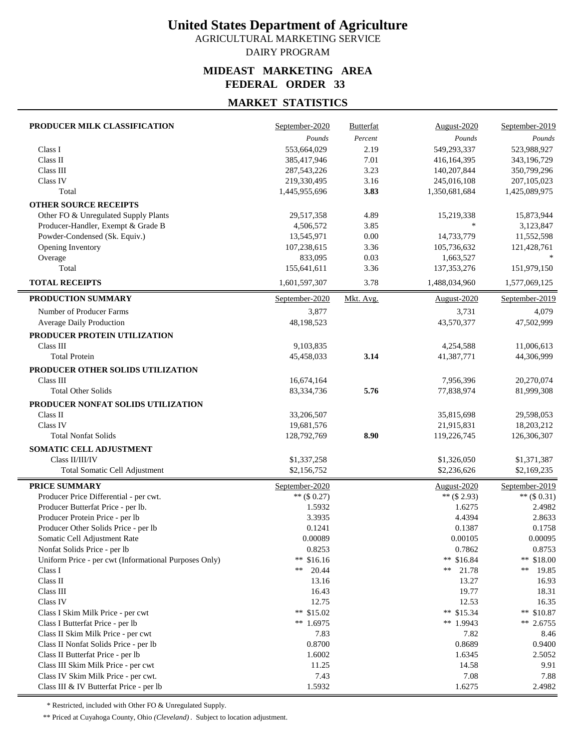AGRICULTURAL MARKETING SERVICE DAIRY PROGRAM

#### **MIDEAST MARKETING AREA FEDERAL ORDER 33**

### **MARKET STATISTICS**

| PRODUCER MILK CLASSIFICATION                          | September-2020 | <b>Butterfat</b> | August-2020     | September-2019 |
|-------------------------------------------------------|----------------|------------------|-----------------|----------------|
|                                                       | Pounds         | Percent          | Pounds          | Pounds         |
| Class I                                               | 553,664,029    | 2.19             | 549,293,337     | 523,988,927    |
| Class II                                              | 385,417,946    | 7.01             | 416,164,395     | 343,196,729    |
| Class III                                             | 287,543,226    | 3.23             | 140,207,844     | 350,799,296    |
| Class IV                                              | 219,330,495    | 3.16             | 245,016,108     | 207, 105, 023  |
| Total                                                 | 1,445,955,696  | 3.83             | 1,350,681,684   | 1,425,089,975  |
| <b>OTHER SOURCE RECEIPTS</b>                          |                |                  |                 |                |
| Other FO & Unregulated Supply Plants                  | 29,517,358     | 4.89             | 15,219,338      | 15,873,944     |
| Producer-Handler, Exempt & Grade B                    | 4,506,572      | 3.85             | $\frac{1}{2}$   | 3,123,847      |
| Powder-Condensed (Sk. Equiv.)                         | 13,545,971     | 0.00             | 14,733,779      | 11,552,598     |
| Opening Inventory                                     | 107,238,615    | 3.36             | 105,736,632     | 121,428,761    |
| Overage                                               | 833,095        | 0.03             | 1,663,527       |                |
| Total                                                 | 155,641,611    | 3.36             | 137, 353, 276   | 151,979,150    |
| <b>TOTAL RECEIPTS</b>                                 | 1,601,597,307  | 3.78             | 1,488,034,960   | 1,577,069,125  |
| PRODUCTION SUMMARY                                    | September-2020 | Mkt. Avg.        | August-2020     | September-2019 |
| Number of Producer Farms                              | 3,877          |                  | 3,731           | 4,079          |
| <b>Average Daily Production</b>                       | 48,198,523     |                  | 43,570,377      | 47,502,999     |
| PRODUCER PROTEIN UTILIZATION                          |                |                  |                 |                |
| Class III                                             | 9,103,835      |                  | 4,254,588       | 11,006,613     |
| <b>Total Protein</b>                                  | 45,458,033     | 3.14             | 41,387,771      | 44,306,999     |
| PRODUCER OTHER SOLIDS UTILIZATION                     |                |                  |                 |                |
| Class III                                             | 16,674,164     |                  | 7,956,396       | 20,270,074     |
| <b>Total Other Solids</b>                             | 83,334,736     | 5.76             | 77,838,974      | 81,999,308     |
| PRODUCER NONFAT SOLIDS UTILIZATION                    |                |                  |                 |                |
| Class II                                              | 33,206,507     |                  | 35,815,698      | 29,598,053     |
| Class IV                                              | 19,681,576     |                  | 21,915,831      | 18,203,212     |
| <b>Total Nonfat Solids</b>                            | 128,792,769    | 8.90             | 119,226,745     | 126,306,307    |
| SOMATIC CELL ADJUSTMENT                               |                |                  |                 |                |
| Class II/III/IV                                       | \$1,337,258    |                  | \$1,326,050     | \$1,371,387    |
| Total Somatic Cell Adjustment                         | \$2,156,752    |                  | \$2,236,626     | \$2,169,235    |
|                                                       |                |                  |                 |                |
| <b>PRICE SUMMARY</b>                                  | September-2020 |                  | August-2020     | September-2019 |
| Producer Price Differential - per cwt.                | $**$ (\$ 0.27) |                  | ** $($ \$ 2.93) | ** $($0.31)$   |
| Producer Butterfat Price - per lb.                    | 1.5932         |                  | 1.6275          | 2.4982         |
| Producer Protein Price - per lb                       | 3.3935         |                  | 4.4394          | 2.8633         |
| Producer Other Solids Price - per lb                  | 0.1241         |                  | 0.1387          | 0.1758         |
| Somatic Cell Adjustment Rate                          | 0.00089        |                  | 0.00105         | 0.00095        |
| Nonfat Solids Price - per lb                          | 0.8253         |                  | 0.7862          | 0.8753         |
| Uniform Price - per cwt (Informational Purposes Only) | ** $$16.16$    |                  | ** \$16.84      | ** $$18.00$    |
| Class I                                               | **<br>20.44    |                  | 21.78<br>**     | **<br>19.85    |
| Class II                                              | 13.16          |                  | 13.27           | 16.93          |
| Class III                                             | 16.43          |                  | 19.77           | 18.31          |
| Class IV                                              | 12.75          |                  | 12.53           | 16.35          |
| Class I Skim Milk Price - per cwt                     | ** $$15.02$    |                  | ** $$15.34$     | ** $$10.87$    |
| Class I Butterfat Price - per lb                      | ** $1.6975$    |                  | ** 1.9943       | $** 2.6755$    |
| Class II Skim Milk Price - per cwt                    | 7.83           |                  | 7.82            | 8.46           |
| Class II Nonfat Solids Price - per lb                 | 0.8700         |                  | 0.8689          | 0.9400         |
| Class II Butterfat Price - per lb                     | 1.6002         |                  | 1.6345          | 2.5052         |
| Class III Skim Milk Price - per cwt                   | 11.25          |                  | 14.58           | 9.91           |
| Class IV Skim Milk Price - per cwt.                   | 7.43           |                  | 7.08            | 7.88           |
| Class III & IV Butterfat Price - per lb               | 1.5932         |                  | 1.6275          | 2.4982         |

\* Restricted, included with Other FO & Unregulated Supply.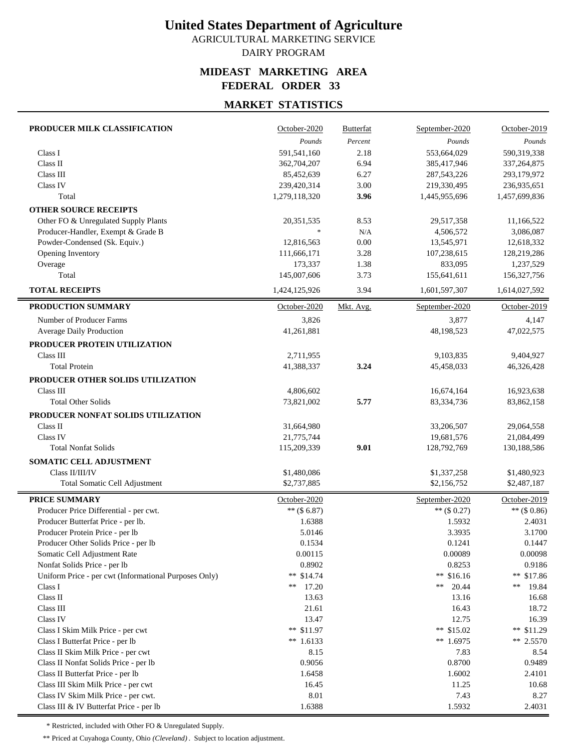AGRICULTURAL MARKETING SERVICE DAIRY PROGRAM

#### **MIDEAST MARKETING AREA FEDERAL ORDER 33**

### **MARKET STATISTICS**

| PRODUCER MILK CLASSIFICATION                          | October-2020  | <b>Butterfat</b> | September-2020 | October-2019    |
|-------------------------------------------------------|---------------|------------------|----------------|-----------------|
|                                                       | Pounds        | Percent          | Pounds         | Pounds          |
| Class I                                               | 591,541,160   | 2.18             | 553,664,029    | 590,319,338     |
| Class II                                              | 362,704,207   | 6.94             | 385,417,946    | 337, 264, 875   |
| Class III                                             | 85,452,639    | 6.27             | 287, 543, 226  | 293,179,972     |
| Class IV                                              | 239,420,314   | 3.00             | 219,330,495    | 236,935,651     |
| Total                                                 | 1,279,118,320 | 3.96             | 1,445,955,696  | 1,457,699,836   |
| <b>OTHER SOURCE RECEIPTS</b>                          |               |                  |                |                 |
| Other FO & Unregulated Supply Plants                  | 20,351,535    | 8.53             | 29,517,358     | 11,166,522      |
| Producer-Handler, Exempt & Grade B                    | $\ast$        | N/A              | 4,506,572      | 3,086,087       |
| Powder-Condensed (Sk. Equiv.)                         | 12,816,563    | 0.00             | 13,545,971     | 12,618,332      |
| Opening Inventory                                     | 111,666,171   | 3.28             | 107,238,615    | 128,219,286     |
| Overage                                               | 173,337       | 1.38             | 833,095        | 1,237,529       |
| Total                                                 | 145,007,606   | 3.73             | 155,641,611    | 156,327,756     |
| <b>TOTAL RECEIPTS</b>                                 | 1,424,125,926 | 3.94             | 1,601,597,307  | 1,614,027,592   |
| PRODUCTION SUMMARY                                    | October-2020  | Mkt. Avg.        | September-2020 | October-2019    |
| Number of Producer Farms                              | 3,826         |                  | 3,877          | 4,147           |
| <b>Average Daily Production</b>                       | 41,261,881    |                  | 48,198,523     | 47,022,575      |
| PRODUCER PROTEIN UTILIZATION                          |               |                  |                |                 |
| Class III                                             | 2,711,955     |                  | 9,103,835      | 9,404,927       |
| <b>Total Protein</b>                                  | 41,388,337    | 3.24             | 45,458,033     | 46,326,428      |
| PRODUCER OTHER SOLIDS UTILIZATION                     |               |                  |                |                 |
| Class III                                             | 4,806,602     |                  | 16,674,164     | 16,923,638      |
| <b>Total Other Solids</b>                             | 73,821,002    | 5.77             | 83,334,736     | 83,862,158      |
|                                                       |               |                  |                |                 |
| PRODUCER NONFAT SOLIDS UTILIZATION                    |               |                  |                |                 |
| Class II                                              | 31,664,980    |                  | 33,206,507     | 29,064,558      |
| Class IV                                              | 21,775,744    |                  | 19,681,576     | 21,084,499      |
| <b>Total Nonfat Solids</b>                            | 115,209,339   | 9.01             | 128,792,769    | 130,188,586     |
| SOMATIC CELL ADJUSTMENT                               |               |                  |                |                 |
| Class II/III/IV                                       | \$1,480,086   |                  | \$1,337,258    | \$1,480,923     |
| Total Somatic Cell Adjustment                         | \$2,737,885   |                  | \$2,156,752    | \$2,487,187     |
| <b>PRICE SUMMARY</b>                                  | October-2020  |                  | September-2020 | October-2019    |
| Producer Price Differential - per cwt.                | $**$ (\$6.87) |                  | $**$ (\$ 0.27) | ** $($ \$ 0.86) |
| Producer Butterfat Price - per lb.                    | 1.6388        |                  | 1.5932         | 2.4031          |
| Producer Protein Price - per lb                       | 5.0146        |                  | 3.3935         | 3.1700          |
| Producer Other Solids Price - per lb                  | 0.1534        |                  | 0.1241         | 0.1447          |
| Somatic Cell Adjustment Rate                          | 0.00115       |                  | 0.00089        | 0.00098         |
| Nonfat Solids Price - per lb                          | 0.8902        |                  | 0.8253         | 0.9186          |
| Uniform Price - per cwt (Informational Purposes Only) | $**$ \$14.74  |                  | ** $$16.16$    | ** $$17.86$     |
| Class I                                               | 17.20<br>**   |                  | 20.44<br>**    | **<br>19.84     |
| Class II                                              | 13.63         |                  | 13.16          | 16.68           |
| Class III                                             | 21.61         |                  | 16.43          | 18.72           |
| Class IV                                              | 13.47         |                  | 12.75          | 16.39           |
| Class I Skim Milk Price - per cwt                     | ** \$11.97    |                  | ** \$15.02     | ** $$11.29$     |
| Class I Butterfat Price - per lb                      | ** $1.6133$   |                  | ** 1.6975      | $** 2.5570$     |
| Class II Skim Milk Price - per cwt                    | 8.15          |                  | 7.83           | 8.54            |
| Class II Nonfat Solids Price - per lb                 | 0.9056        |                  | 0.8700         | 0.9489          |
| Class II Butterfat Price - per lb                     | 1.6458        |                  | 1.6002         | 2.4101          |
| Class III Skim Milk Price - per cwt                   | 16.45         |                  | 11.25          | 10.68           |
| Class IV Skim Milk Price - per cwt.                   | 8.01          |                  | 7.43           | 8.27            |
| Class III & IV Butterfat Price - per lb               | 1.6388        |                  | 1.5932         | 2.4031          |

\* Restricted, included with Other FO & Unregulated Supply.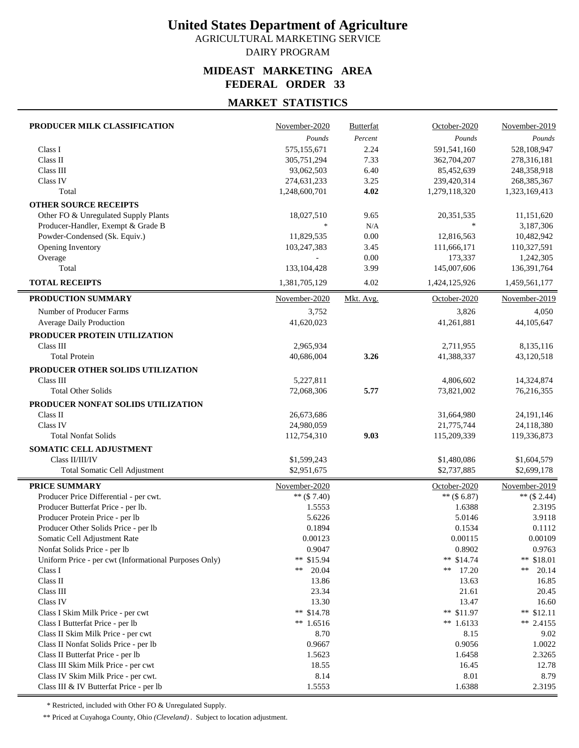AGRICULTURAL MARKETING SERVICE DAIRY PROGRAM

#### **MIDEAST MARKETING AREA FEDERAL ORDER 33**

## **MARKET STATISTICS**

| PRODUCER MILK CLASSIFICATION                          | November-2020 | <b>Butterfat</b> | October-2020  | November-2019 |
|-------------------------------------------------------|---------------|------------------|---------------|---------------|
|                                                       | Pounds        | Percent          | Pounds        | Pounds        |
| Class I                                               | 575,155,671   | 2.24             | 591,541,160   | 528,108,947   |
| Class II                                              | 305,751,294   | 7.33             | 362,704,207   | 278,316,181   |
| Class III                                             | 93,062,503    | 6.40             | 85,452,639    | 248,358,918   |
| Class IV                                              | 274,631,233   | 3.25             | 239,420,314   | 268, 385, 367 |
| Total                                                 | 1,248,600,701 | 4.02             | 1,279,118,320 | 1,323,169,413 |
| <b>OTHER SOURCE RECEIPTS</b>                          |               |                  |               |               |
| Other FO & Unregulated Supply Plants                  | 18,027,510    | 9.65             | 20,351,535    | 11,151,620    |
| Producer-Handler, Exempt & Grade B                    |               | N/A              | $\frac{1}{2}$ | 3,187,306     |
| Powder-Condensed (Sk. Equiv.)                         | 11,829,535    | 0.00             | 12,816,563    | 10,482,942    |
| Opening Inventory                                     | 103,247,383   | 3.45             | 111,666,171   | 110,327,591   |
| Overage                                               |               | 0.00             | 173,337       | 1,242,305     |
| Total                                                 | 133, 104, 428 | 3.99             | 145,007,606   | 136,391,764   |
| <b>TOTAL RECEIPTS</b>                                 | 1,381,705,129 | 4.02             | 1,424,125,926 | 1,459,561,177 |
| PRODUCTION SUMMARY                                    | November-2020 | Mkt. Avg.        | October-2020  | November-2019 |
| Number of Producer Farms                              | 3,752         |                  | 3,826         | 4,050         |
| <b>Average Daily Production</b>                       | 41,620,023    |                  | 41,261,881    | 44,105,647    |
|                                                       |               |                  |               |               |
| PRODUCER PROTEIN UTILIZATION                          |               |                  |               |               |
| Class III                                             | 2,965,934     |                  | 2,711,955     | 8,135,116     |
| <b>Total Protein</b>                                  | 40,686,004    | 3.26             | 41,388,337    | 43,120,518    |
| PRODUCER OTHER SOLIDS UTILIZATION                     |               |                  |               |               |
| Class III                                             | 5,227,811     |                  | 4,806,602     | 14,324,874    |
| <b>Total Other Solids</b>                             | 72,068,306    | 5.77             | 73,821,002    | 76,216,355    |
| PRODUCER NONFAT SOLIDS UTILIZATION                    |               |                  |               |               |
| Class II                                              | 26,673,686    |                  | 31,664,980    | 24, 191, 146  |
| <b>Class IV</b>                                       | 24,980,059    |                  | 21,775,744    | 24,118,380    |
| <b>Total Nonfat Solids</b>                            | 112,754,310   | 9.03             | 115,209,339   | 119,336,873   |
| SOMATIC CELL ADJUSTMENT                               |               |                  |               |               |
| Class II/III/IV                                       | \$1,599,243   |                  | \$1,480,086   | \$1,604,579   |
| Total Somatic Cell Adjustment                         | \$2,951,675   |                  | \$2,737,885   | \$2,699,178   |
| <b>PRICE SUMMARY</b>                                  | November-2020 |                  | October-2020  | November-2019 |
| Producer Price Differential - per cwt.                | ** $($7.40)$  |                  | ** $($6.87)$  | ** $($2.44)$  |
| Producer Butterfat Price - per lb.                    | 1.5553        |                  | 1.6388        | 2.3195        |
| Producer Protein Price - per lb                       | 5.6226        |                  | 5.0146        | 3.9118        |
| Producer Other Solids Price - per lb                  | 0.1894        |                  | 0.1534        | 0.1112        |
| Somatic Cell Adjustment Rate                          | 0.00123       |                  | 0.00115       | 0.00109       |
| Nonfat Solids Price - per lb                          | 0.9047        |                  | 0.8902        | 0.9763        |
| Uniform Price - per cwt (Informational Purposes Only) | ** \$15.94    |                  | $**$ \$14.74  | ** $$18.01$   |
| Class I                                               | **<br>20.04   |                  | **<br>17.20   | **<br>20.14   |
| Class II                                              | 13.86         |                  | 13.63         | 16.85         |
| Class III                                             | 23.34         |                  | 21.61         | 20.45         |
| Class IV                                              | 13.30         |                  | 13.47         | 16.60         |
| Class I Skim Milk Price - per cwt                     | ** $$14.78$   |                  | ** $$11.97$   | ** $$12.11$   |
| Class I Butterfat Price - per lb                      | $**$ 1.6516   |                  | ** $1.6133$   | $**$ 2.4155   |
| Class II Skim Milk Price - per cwt                    | 8.70          |                  | 8.15          | 9.02          |
| Class II Nonfat Solids Price - per lb                 | 0.9667        |                  | 0.9056        | 1.0022        |
| Class II Butterfat Price - per lb                     | 1.5623        |                  | 1.6458        | 2.3265        |
| Class III Skim Milk Price - per cwt                   | 18.55         |                  | 16.45         | 12.78         |
| Class IV Skim Milk Price - per cwt.                   | 8.14          |                  | 8.01          | 8.79          |
| Class III & IV Butterfat Price - per lb               | 1.5553        |                  | 1.6388        | 2.3195        |

\* Restricted, included with Other FO & Unregulated Supply.